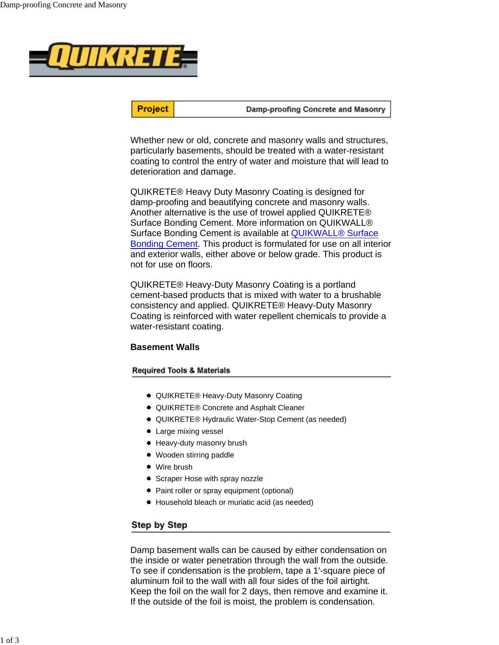

**Project** 

Damp-proofing Concrete and Masonry

Whether new or old, concrete and masonry walls and structures, particularly basements, should be treated with a water-resistant coating to control the entry of water and moisture that will lead to deterioration and damage.

QUIKRETE® Heavy Duty Masonry Coating is designed for damp-proofing and beautifying concrete and masonry walls. Another alternative is the use of trowel applied QUIKRETE® Surface Bonding Cement. More information on QUIKWALL® Surface Bonding Cement is available at [QUIKWALL® Surface](http://www.quikrete.com/ProductLines/QuickwallSurfaceBondingCement.asp) [Bonding Cement.](http://www.quikrete.com/ProductLines/QuickwallSurfaceBondingCement.asp) This product is formulated for use on all interior and exterior walls, either above or below grade. This product is not for use on floors.

QUIKRETE® Heavy-Duty Masonry Coating is a portland cement-based products that is mixed with water to a brushable consistency and applied. QUIKRETE® Heavy-Duty Masonry Coating is reinforced with water repellent chemicals to provide a water-resistant coating.

# **Basement Walls**

# **Required Tools & Materials**

- QUIKRETE® Heavy-Duty Masonry Coating
- QUIKRETE® Concrete and Asphalt Cleaner
- QUIKRETE® Hydraulic Water-Stop Cement (as needed)
- Large mixing vessel
- Heavy-duty masonry brush
- Wooden stirring paddle
- Wire brush
- Scraper Hose with spray nozzle
- Paint roller or spray equipment (optional)
- Household bleach or muriatic acid (as needed)

# Step by Step

Damp basement walls can be caused by either condensation on the inside or water penetration through the wall from the outside. To see if condensation is the problem, tape a 1'-square piece of aluminum foil to the wall with all four sides of the foil airtight. Keep the foil on the wall for 2 days, then remove and examine it. If the outside of the foil is moist, the problem is condensation.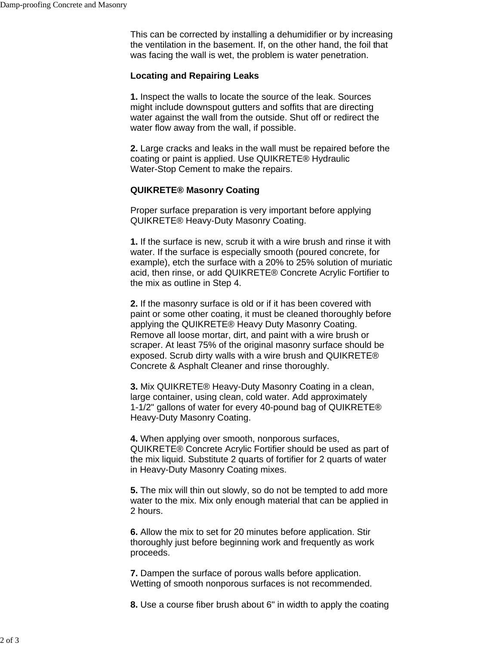This can be corrected by installing a dehumidifier or by increasing the ventilation in the basement. If, on the other hand, the foil that was facing the wall is wet, the problem is water penetration.

# **Locating and Repairing Leaks**

**1.** Inspect the walls to locate the source of the leak. Sources might include downspout gutters and soffits that are directing water against the wall from the outside. Shut off or redirect the water flow away from the wall, if possible.

**2.** Large cracks and leaks in the wall must be repaired before the coating or paint is applied. Use QUIKRETE® Hydraulic Water-Stop Cement to make the repairs.

#### **QUIKRETE® Masonry Coating**

Proper surface preparation is very important before applying QUIKRETE® Heavy-Duty Masonry Coating.

**1.** If the surface is new, scrub it with a wire brush and rinse it with water. If the surface is especially smooth (poured concrete, for example), etch the surface with a 20% to 25% solution of muriatic acid, then rinse, or add QUIKRETE® Concrete Acrylic Fortifier to the mix as outline in Step 4.

**2.** If the masonry surface is old or if it has been covered with paint or some other coating, it must be cleaned thoroughly before applying the QUIKRETE® Heavy Duty Masonry Coating. Remove all loose mortar, dirt, and paint with a wire brush or scraper. At least 75% of the original masonry surface should be exposed. Scrub dirty walls with a wire brush and QUIKRETE® Concrete & Asphalt Cleaner and rinse thoroughly.

**3.** Mix QUIKRETE® Heavy-Duty Masonry Coating in a clean, large container, using clean, cold water. Add approximately 1-1/2" gallons of water for every 40-pound bag of QUIKRETE® Heavy-Duty Masonry Coating.

**4.** When applying over smooth, nonporous surfaces, QUIKRETE® Concrete Acrylic Fortifier should be used as part of the mix liquid. Substitute 2 quarts of fortifier for 2 quarts of water in Heavy-Duty Masonry Coating mixes.

**5.** The mix will thin out slowly, so do not be tempted to add more water to the mix. Mix only enough material that can be applied in 2 hours.

**6.** Allow the mix to set for 20 minutes before application. Stir thoroughly just before beginning work and frequently as work proceeds.

**7.** Dampen the surface of porous walls before application. Wetting of smooth nonporous surfaces is not recommended.

**8.** Use a course fiber brush about 6" in width to apply the coating